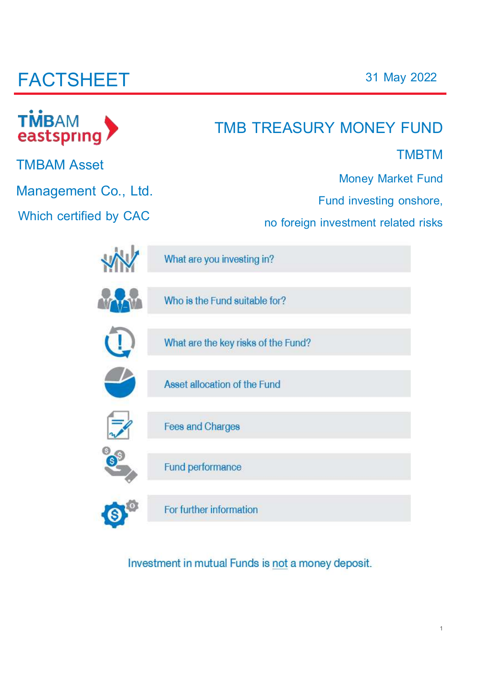# **FACTSHEET**

| TMBAM<br>eastspring    | TMB TREASURY MONEY FUND                                                                    |  |  |  |  |  |
|------------------------|--------------------------------------------------------------------------------------------|--|--|--|--|--|
| <b>TMBAM Asset</b>     | <b>TMBTM</b>                                                                               |  |  |  |  |  |
| Management Co., Ltd.   | <b>Money Market Fund</b><br>Fund investing onshore,<br>no foreign investment related risks |  |  |  |  |  |
| Which certified by CAC |                                                                                            |  |  |  |  |  |
|                        | What are you investing in?                                                                 |  |  |  |  |  |
|                        | Who is the Fund suitable for?                                                              |  |  |  |  |  |
|                        | What are the key risks of the Fund?                                                        |  |  |  |  |  |
|                        | Asset allocation of the Fund                                                               |  |  |  |  |  |
|                        | <b>Fees and Charges</b>                                                                    |  |  |  |  |  |
| $\vert s \vert$        | Fund performance                                                                           |  |  |  |  |  |
|                        | For further information                                                                    |  |  |  |  |  |

Investment in mutual Funds is not a money deposit.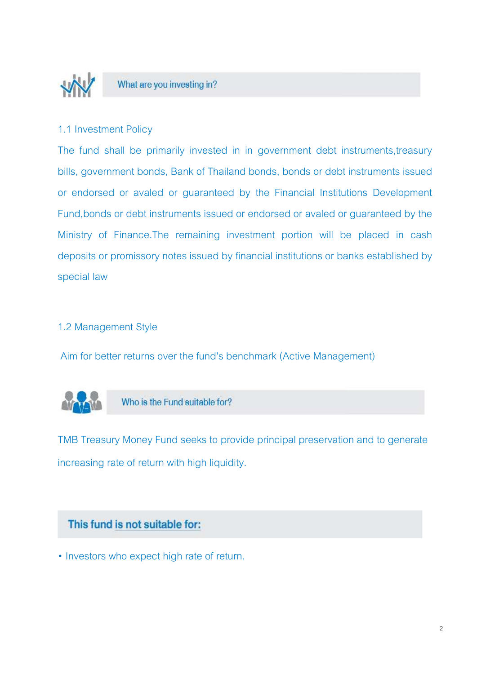

### What are you investing in?

### 1.1 Investment Policy

The fund shall be primarily invested in in government debt instruments,treasury bills, government bonds, Bank of Thailand bonds, bonds or debt instruments issued or endorsed or avaled or guaranteed by the Financial Institutions Development Fund,bonds or debt instruments issued or endorsed or avaled or guaranteed by the Ministry of Finance.The remaining investment portion will be placed in cash deposits or promissory notes issued by financial institutions or banks established by special law

### 1.2 Management Style

Aim for better returns over the fund's benchmark (Active Management)



Who is the Fund suitable for?

TMB Treasury Money Fund seeks to provide principal preservation and to generate increasing rate of return with high liquidity.

### This fund is not suitable for:

• Investors who expect high rate of return.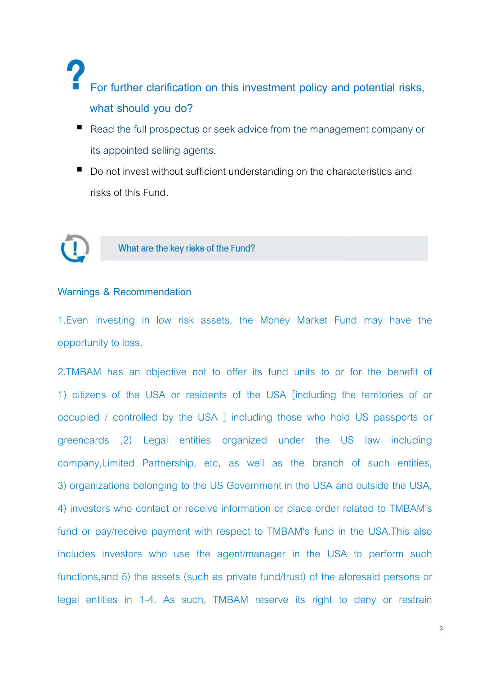## **For further clarification on this investment policy and potential risks, what should you do?**

- Read the full prospectus or seek advice from the management company or its appointed selling agents.
- Do not invest without sufficient understanding on the characteristics and risks of this Fund.



### What are the key risks of the Fund?

#### **Warnings & Recommendation**

1.Even investing in low risk assets, the Money Market Fund may have the opportunity to loss.

2.TMBAM has an objective not to offer its fund units to or for the benefit of 1) citizens of the USA or residents of the USA [including the territories of or occupied / controlled by the USA ] including those who hold US passports or greencards ,2) Legal entities organized under the US law including company,Limited Partnership, etc, as well as the branch of such entities, 3) organizations belonging to the US Government in the USA and outside the USA, 4) investors who contact or receive information or place order related to TMBAM's fund or pay/receive payment with respect to TMBAM's fund in the USA.This also includes investors who use the agent/manager in the USA to perform such functions,and 5) the assets (such as private fund/trust) of the aforesaid persons or legal entities in 1-4. As such, TMBAM reserve its right to deny or restrain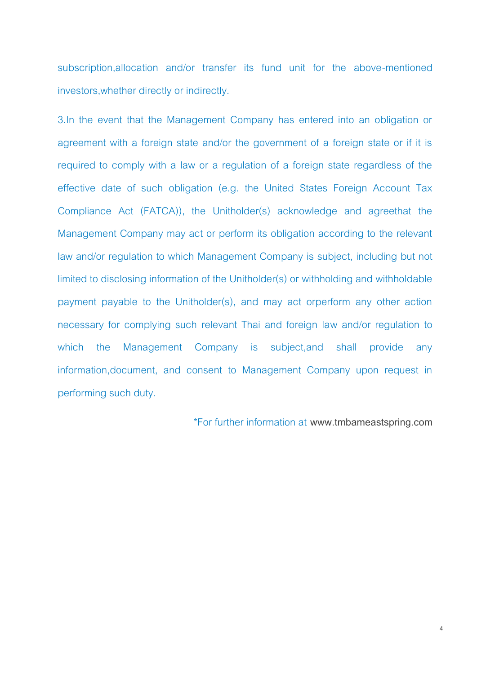subscription,allocation and/or transfer its fund unit for the above-mentioned investors,whether directly or indirectly.

3.In the event that the Management Company has entered into an obligation or agreement with a foreign state and/or the government of a foreign state or if it is required to comply with a law or a regulation of a foreign state regardless of the effective date of such obligation (e.g. the United States Foreign Account Tax Compliance Act (FATCA)), the Unitholder(s) acknowledge and agreethat the Management Company may act or perform its obligation according to the relevant law and/or regulation to which Management Company is subject, including but not limited to disclosing information of the Unitholder(s) or withholding and withholdable payment payable to the Unitholder(s), and may act orperform any other action necessary for complying such relevant Thai and foreign law and/or regulation to which the Management Company is subject,and shall provide any information,document, and consent to Management Company upon request in performing such duty.

\*For further information at **www.[tmbameastspring.com](http://www.tmbameastspring.com/)**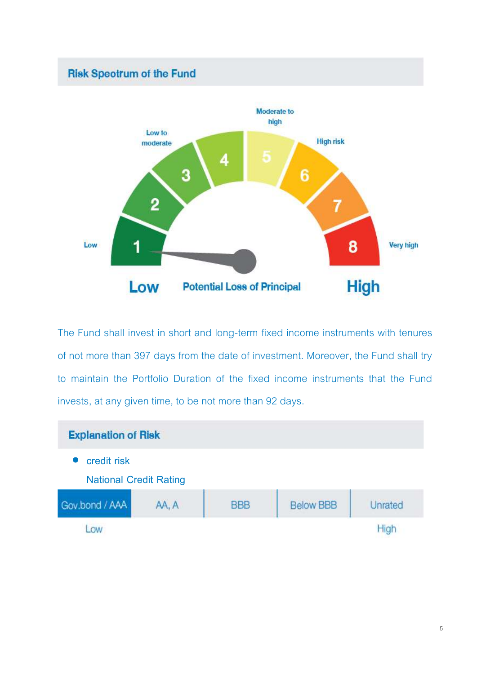

The Fund shall invest in short and long-term fixed income instruments with tenures of not more than 397 days from the date of investment. Moreover, the Fund shall try to maintain the Portfolio Duration of the fixed income instruments that the Fund invests, at any given time, to be not more than 92 days.

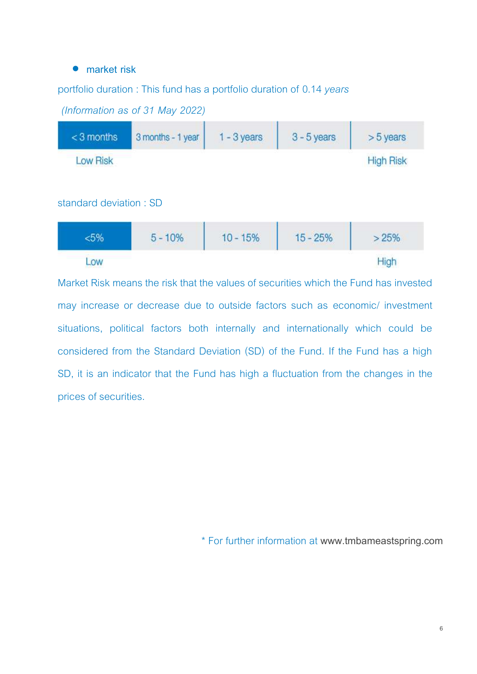#### • **market risk**

#### portfolio duration : This fund has a portfolio duration of 0.14 *years*



*(Information as of 31 May 2022)*

#### standard deviation : SD

|    | $5 - 10%$ | $10 - 15%$ | the process of the state of the state<br>$-25%$ | >2070        |
|----|-----------|------------|-------------------------------------------------|--------------|
| OW |           |            |                                                 | <b>Salar</b> |

Market Risk means the risk that the values of securities which the Fund has invested may increase or decrease due to outside factors such as economic/ investment situations, political factors both internally and internationally which could be considered from the Standard Deviation (SD) of the Fund. If the Fund has a high SD, it is an indicator that the Fund has high a fluctuation from the changes in the prices of securities.

\* For further information at **www.[tmbameastspring.com](http://www.tmbameastspring.com/)**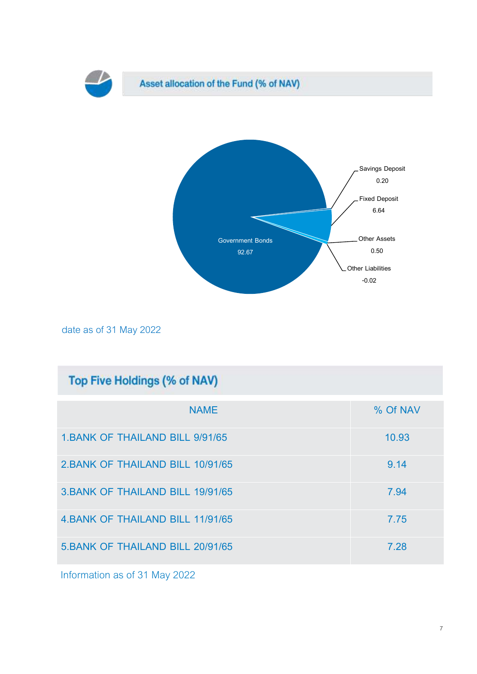

date as of 31 May 2022

| <b>Top Five Holdings (% of NAV)</b>     |          |  |  |  |  |  |
|-----------------------------------------|----------|--|--|--|--|--|
| <b>NAME</b>                             | % Of NAV |  |  |  |  |  |
| <b>1. BANK OF THAILAND BILL 9/91/65</b> | 10.93    |  |  |  |  |  |
| 2. BANK OF THAILAND BILL 10/91/65       | 9.14     |  |  |  |  |  |
| 3. BANK OF THAILAND BILL 19/91/65       | 7.94     |  |  |  |  |  |
| 4. BANK OF THAILAND BILL 11/91/65       | 7.75     |  |  |  |  |  |
| 5. BANK OF THAILAND BILL 20/91/65       | 7.28     |  |  |  |  |  |

Information as of 31 May 2022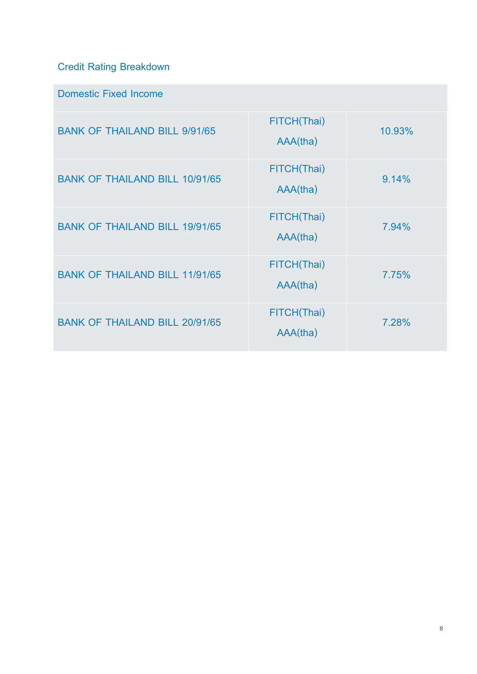### **Credit Rating Breakdown**

### **Domestic Fixed Income**

| <b>BANK OF THAILAND BILL 9/91/65</b>  | FITCH(Thai)<br>AAA(tha) | 10,93% |
|---------------------------------------|-------------------------|--------|
| <b>BANK OF THAILAND BILL 10/91/65</b> | FITCH(Thai)<br>AAA(tha) | 9.14%  |
| <b>BANK OF THAILAND BILL 19/91/65</b> | FITCH(Thai)<br>AAA(tha) | 7.94%  |
| <b>BANK OF THAILAND BILL 11/91/65</b> | FITCH(Thai)<br>AAA(tha) | 7.75%  |
| <b>BANK OF THAILAND BILL 20/91/65</b> | FITCH(Thai)<br>AAA(tha) | 7.28%  |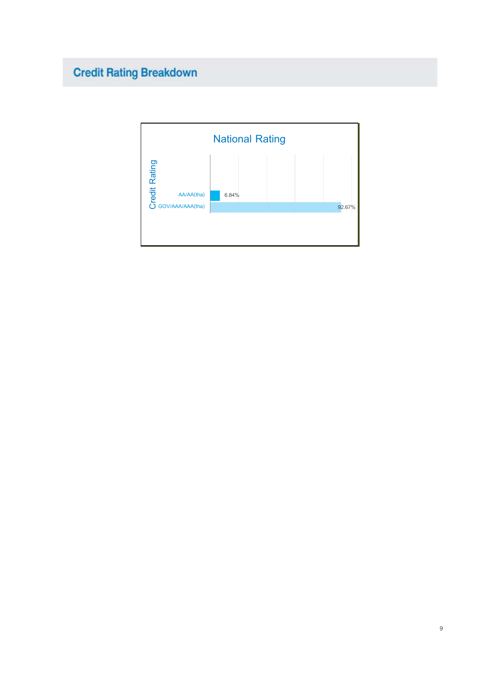## **Credit Rating Breakdown**

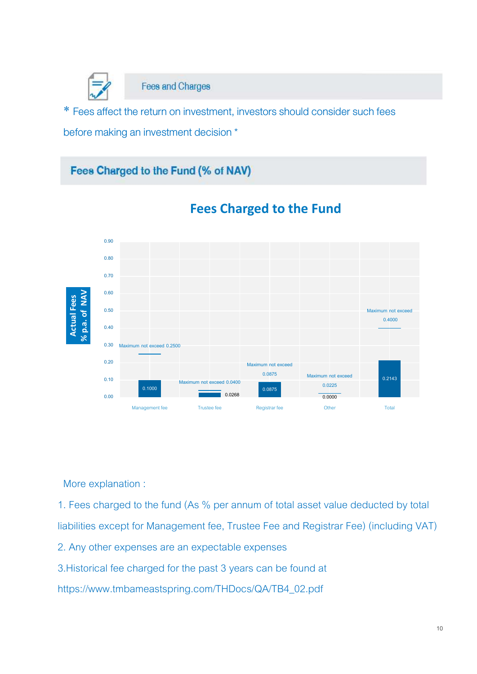

**Fees and Charges** 

\* Fees affect the return on investment, investors should consider such fees before making an investment decision \*

### Fees Charged to the Fund (% of NAV)



### **Fees Charged to the Fund**

More explanation :

1. Fees charged to the fund (As % per annum of total asset value deducted by total liabilities except for Management fee, Trustee Fee and Registrar Fee) (including VAT)

2. Any other expenses are an expectable expenses

3.Historical fee charged for the past 3 years can be found at

https://www.tmbameastspring.com/THDocs/QA/TB4\_02.pdf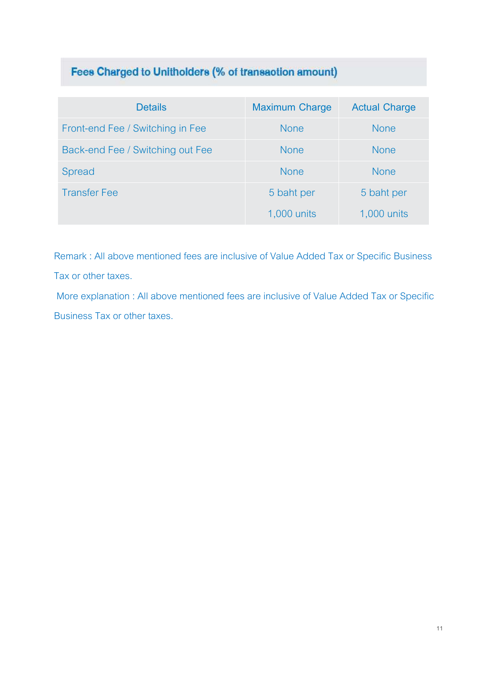### Fees Charged to Unitholders (% of transaction amount)

| <b>Details</b>                   | <b>Maximum Charge</b> | <b>Actual Charge</b> |
|----------------------------------|-----------------------|----------------------|
| Front-end Fee / Switching in Fee | <b>None</b>           | <b>None</b>          |
| Back-end Fee / Switching out Fee | <b>None</b>           | <b>None</b>          |
| <b>Spread</b>                    | <b>None</b>           | <b>None</b>          |
| <b>Transfer Fee</b>              | 5 baht per            | 5 baht per           |
|                                  | 1,000 units           | 1,000 units          |

Remark : All above mentioned fees are inclusive of Value Added Tax or Specific Business Tax or other taxes.

More explanation : All above mentioned fees are inclusive of Value Added Tax or Specific Business Tax or other taxes.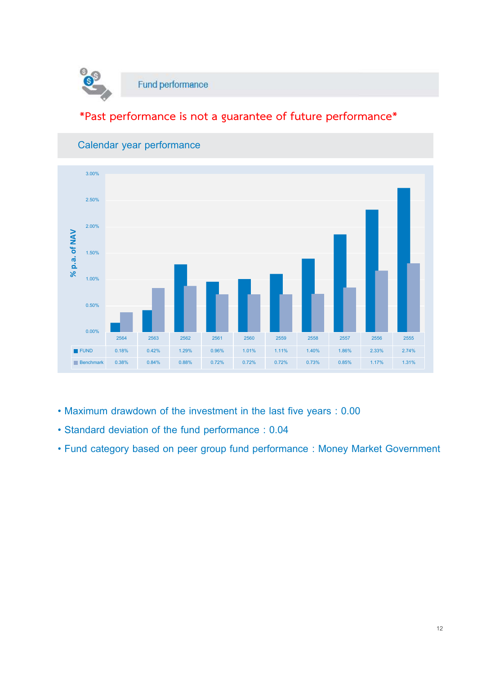

### **\*Past performance is not a guarantee of future performance\***



### **Calendar year performance**

- **Maximum drawdown of the investment in the last five years : 0.00**
- **Standard deviation of the fund performance : 0.04**
- **Fund category based on peer group fund performance : Money Market Government**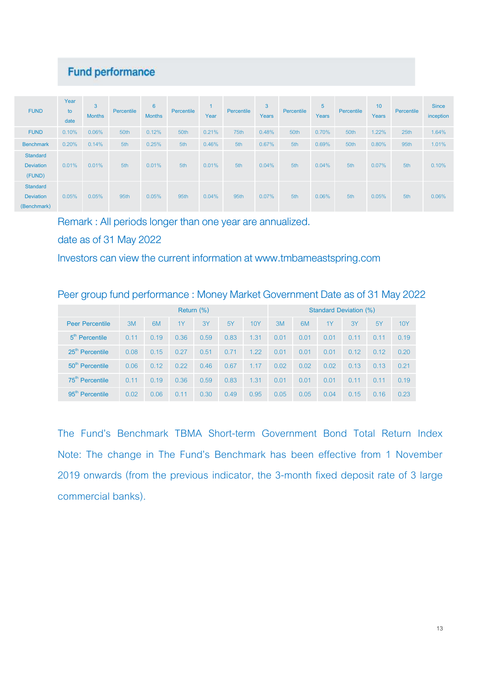### **Fund performance**

| <b>FUND</b>                                        | Year<br>to<br>date | 3<br><b>Months</b> | Percentile | $6\phantom{1}$<br><b>Months</b> | Percentile | Year  | Percentile | $\overline{3}$<br>Years | Percentile | 5<br><b>Years</b> | Percentile | 10<br>Years | Percentile | <b>Since</b><br>inception |
|----------------------------------------------------|--------------------|--------------------|------------|---------------------------------|------------|-------|------------|-------------------------|------------|-------------------|------------|-------------|------------|---------------------------|
| <b>FUND</b>                                        | 0.10%              | 0.06%              | 50th       | 0.12%                           | 50th       | 0.21% | 75th       | 0.48%                   | 50th       | 0.70%             | 50th       | $1.22\%$    | 25th       | 1.64%                     |
| <b>Benchmark</b>                                   | 0.20%              | 0.14%              | 5th        | 0.25%                           | 5th        | 0.46% | 5th        | 0.67%                   | 5th        | 0.69%             | 50th       | 0.80%       | 95th       | 1.01%                     |
| <b>Standard</b><br><b>Deviation</b><br>(FUND)      | 0.01%              | 0.01%              | 5th        | 0.01%                           | 5th        | 0.01% | 5th        | 0.04%                   | 5th        | 0.04%             | 5th        | 0.07%       | 5th        | 0.10%                     |
| <b>Standard</b><br><b>Deviation</b><br>(Benchmark) | 0.05%              | 0.05%              | 95th       | 0.05%                           | 95th       | 0.04% | 95th       | 0.07%                   | 5th        | 0.06%             | 5th        | 0.05%       | 5th        | 0.06%                     |

Remark : All periods longer than one year are annualized.

date as of 31 May 2022

Investors can view the current information at www.tmbameastspring.com

| Peer group fund performance: Money Market Government Date as of 31 May 2022 |
|-----------------------------------------------------------------------------|
|-----------------------------------------------------------------------------|

|                             | Return $(\%)$ |      |      |      |      |      |      | Standard Deviation (%) |      |      |      |      |
|-----------------------------|---------------|------|------|------|------|------|------|------------------------|------|------|------|------|
| <b>Peer Percentile</b>      | 3M            | 6M   | 1Y   | 3Y   | 5Y   | 10Y  | 3M   | 6M                     | 1Y   | 3Y   | .5Y  | 10Y  |
| $5m$ Percentile             | 0.11          | 0.19 | 0.36 | 0.59 | 0.83 | 1.31 | 0.01 | 0.01                   | 0.01 | 0.11 | 0.11 | 0.19 |
| 25 <sup>th</sup> Percentile | 0.08          | 0.15 | 0.27 | 0.51 | 0.71 | 1.22 | 0.01 | 0.01                   | 0.01 | 0.12 | 0.12 | 0.20 |
| 50 <sup>th</sup> Percentile | 0.06          | 0.12 | 0.22 | 0.46 | 0.67 | 1.17 | 0.02 | 0.02                   | 0.02 | 0.13 | 0.13 | 0.21 |
| 75 <sup>th</sup> Percentile | 0.11          | 0.19 | 0.36 | 0.59 | 0.83 | 1.31 | 0.01 | 0.01                   | 0.01 | 0.11 | 0.11 | 0.19 |
| $95th$ Percentile           | 0.02          | 0.06 | 0.11 | 0.30 | 0.49 | 0.95 | 0.05 | 0.05                   | 0.04 | 0.15 | 0.16 | 0.23 |

The Fund's Benchmark TBMA Short-term Government Bond Total Return Index Note: The change in The Fund's Benchmark has been effective from 1 November 2019 onwards (from the previous indicator, the 3-month fixed deposit rate of 3 large commercial banks).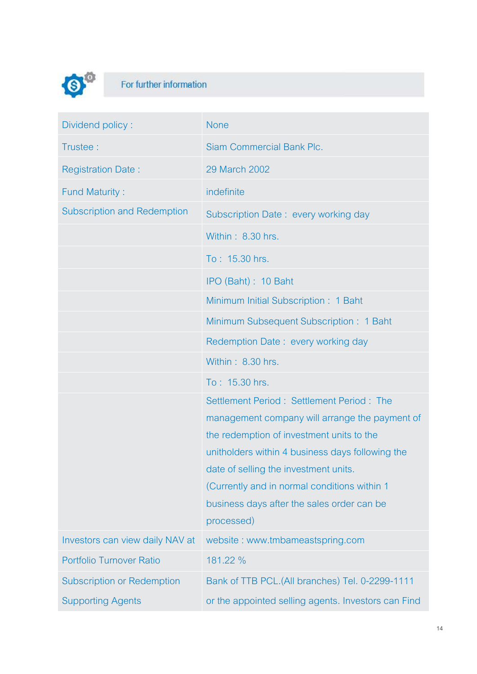

## For further information

| Dividend policy:                   | <b>None</b>                                         |
|------------------------------------|-----------------------------------------------------|
| Trustee:                           | <b>Siam Commercial Bank Plc.</b>                    |
| <b>Registration Date:</b>          | 29 March 2002                                       |
| <b>Fund Maturity:</b>              | indefinite                                          |
| <b>Subscription and Redemption</b> | Subscription Date: every working day                |
|                                    | Within: 8.30 hrs.                                   |
|                                    | To: 15.30 hrs.                                      |
|                                    | IPO (Baht): 10 Baht                                 |
|                                    | Minimum Initial Subscription: 1 Baht                |
|                                    | Minimum Subsequent Subscription: 1 Baht             |
|                                    | Redemption Date: every working day                  |
|                                    | Within: 8.30 hrs.                                   |
|                                    | To: 15.30 hrs.                                      |
|                                    | Settlement Period: Settlement Period: The           |
|                                    | management company will arrange the payment of      |
|                                    | the redemption of investment units to the           |
|                                    | unitholders within 4 business days following the    |
|                                    | date of selling the investment units.               |
|                                    | (Currently and in normal conditions within 1)       |
|                                    | business days after the sales order can be          |
|                                    | processed)                                          |
| Investors can view daily NAV at    | website: www.tmbameastspring.com                    |
| Portfolio Turnover Ratio           | 181.22 %                                            |
| <b>Subscription or Redemption</b>  | Bank of TTB PCL.(All branches) Tel. 0-2299-1111     |
| <b>Supporting Agents</b>           | or the appointed selling agents. Investors can Find |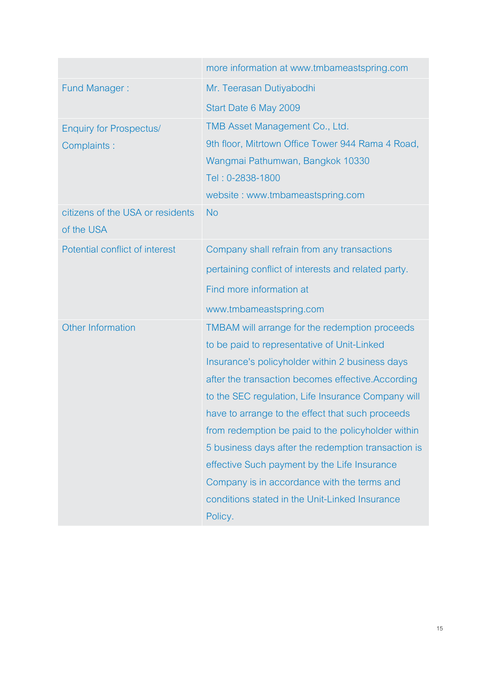|                                                | more information at www.tmbameastspring.com         |
|------------------------------------------------|-----------------------------------------------------|
| <b>Fund Manager:</b>                           | Mr. Teerasan Dutiyabodhi                            |
|                                                | Start Date 6 May 2009                               |
| <b>Enquiry for Prospectus/</b>                 | TMB Asset Management Co., Ltd.                      |
| Complaints :                                   | 9th floor, Mitrtown Office Tower 944 Rama 4 Road,   |
|                                                | Wangmai Pathumwan, Bangkok 10330                    |
|                                                | Tel: 0-2838-1800                                    |
|                                                | website: www.tmbameastspring.com                    |
| citizens of the USA or residents<br>of the USA | <b>No</b>                                           |
| Potential conflict of interest                 | Company shall refrain from any transactions         |
|                                                | pertaining conflict of interests and related party. |
|                                                | Find more information at                            |
|                                                | www.tmbameastspring.com                             |
| Other Information                              | TMBAM will arrange for the redemption proceeds      |
|                                                | to be paid to representative of Unit-Linked         |
|                                                | Insurance's policyholder within 2 business days     |
|                                                | after the transaction becomes effective. According  |
|                                                | to the SEC regulation, Life Insurance Company will  |
|                                                | have to arrange to the effect that such proceeds    |
|                                                | from redemption be paid to the policyholder within  |
|                                                | 5 business days after the redemption transaction is |
|                                                | effective Such payment by the Life Insurance        |
|                                                | Company is in accordance with the terms and         |
|                                                | conditions stated in the Unit-Linked Insurance      |
|                                                | Policy.                                             |